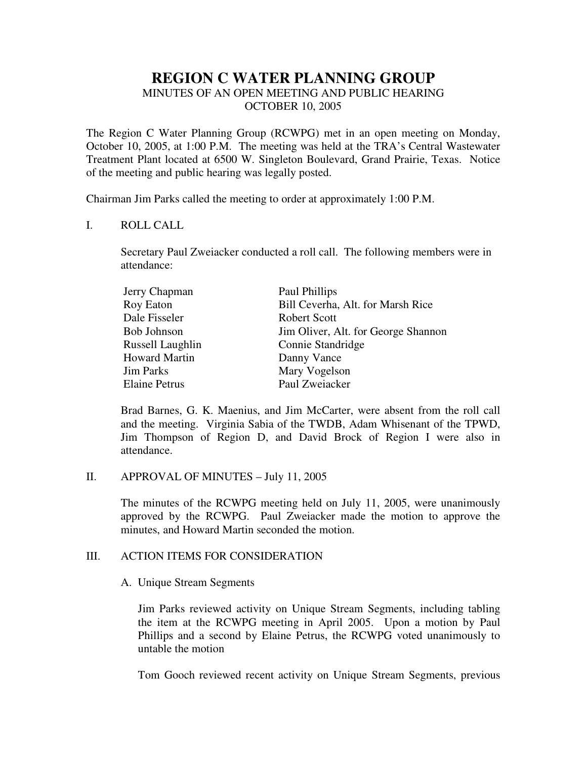# **REGION C WATER PLANNING GROUP**

## MINUTES OF AN OPEN MEETING AND PUBLIC HEARING OCTOBER 10, 2005

The Region C Water Planning Group (RCWPG) met in an open meeting on Monday, October 10, 2005, at 1:00 P.M. The meeting was held at the TRA's Central Wastewater Treatment Plant located at 6500 W. Singleton Boulevard, Grand Prairie, Texas. Notice of the meeting and public hearing was legally posted.

Chairman Jim Parks called the meeting to order at approximately 1:00 P.M.

### I. ROLL CALL

Secretary Paul Zweiacker conducted a roll call. The following members were in attendance:

| Paul Phillips                       |
|-------------------------------------|
| Bill Ceverha, Alt. for Marsh Rice   |
| Robert Scott                        |
| Jim Oliver, Alt. for George Shannon |
| Connie Standridge                   |
| Danny Vance                         |
| Mary Vogelson                       |
| Paul Zweiacker                      |
|                                     |

Brad Barnes, G. K. Maenius, and Jim McCarter, were absent from the roll call and the meeting. Virginia Sabia of the TWDB, Adam Whisenant of the TPWD, Jim Thompson of Region D, and David Brock of Region I were also in attendance.

#### II. APPROVAL OF MINUTES – July 11, 2005

The minutes of the RCWPG meeting held on July 11, 2005, were unanimously approved by the RCWPG. Paul Zweiacker made the motion to approve the minutes, and Howard Martin seconded the motion.

## III. ACTION ITEMS FOR CONSIDERATION

## A. Unique Stream Segments

Jim Parks reviewed activity on Unique Stream Segments, including tabling the item at the RCWPG meeting in April 2005. Upon a motion by Paul Phillips and a second by Elaine Petrus, the RCWPG voted unanimously to untable the motion

Tom Gooch reviewed recent activity on Unique Stream Segments, previous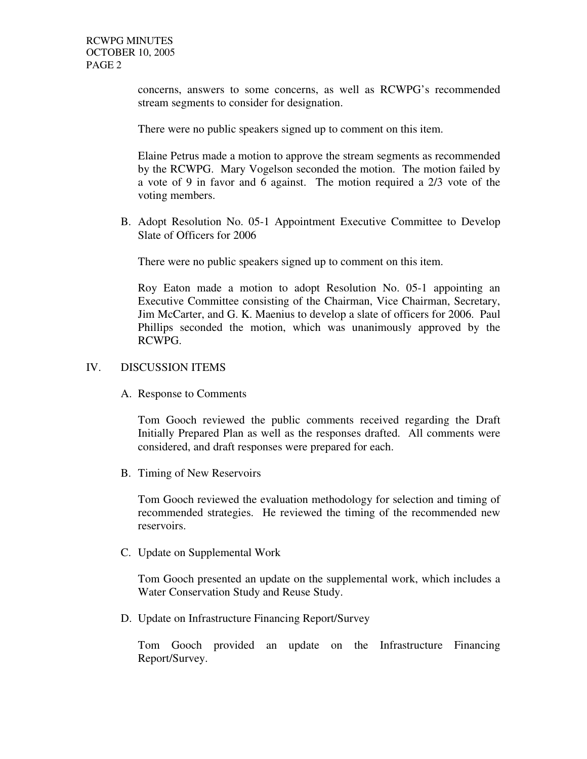concerns, answers to some concerns, as well as RCWPG's recommended stream segments to consider for designation.

There were no public speakers signed up to comment on this item.

Elaine Petrus made a motion to approve the stream segments as recommended by the RCWPG. Mary Vogelson seconded the motion. The motion failed by a vote of 9 in favor and 6 against. The motion required a 2/3 vote of the voting members.

B. Adopt Resolution No. 05-1 Appointment Executive Committee to Develop Slate of Officers for 2006

There were no public speakers signed up to comment on this item.

Roy Eaton made a motion to adopt Resolution No. 05-1 appointing an Executive Committee consisting of the Chairman, Vice Chairman, Secretary, Jim McCarter, and G. K. Maenius to develop a slate of officers for 2006. Paul Phillips seconded the motion, which was unanimously approved by the RCWPG.

### IV. DISCUSSION ITEMS

A. Response to Comments

Tom Gooch reviewed the public comments received regarding the Draft Initially Prepared Plan as well as the responses drafted. All comments were considered, and draft responses were prepared for each.

B. Timing of New Reservoirs

Tom Gooch reviewed the evaluation methodology for selection and timing of recommended strategies. He reviewed the timing of the recommended new reservoirs.

C. Update on Supplemental Work

Tom Gooch presented an update on the supplemental work, which includes a Water Conservation Study and Reuse Study.

D. Update on Infrastructure Financing Report/Survey

Tom Gooch provided an update on the Infrastructure Financing Report/Survey.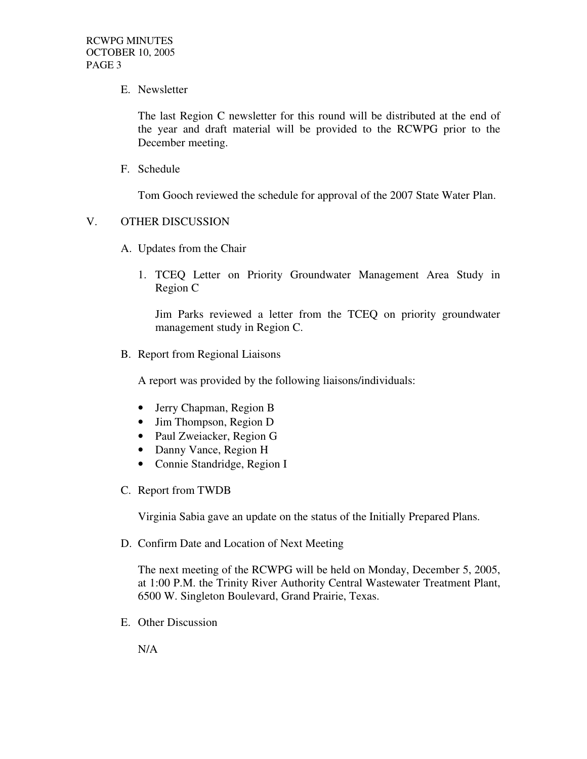E. Newsletter

The last Region C newsletter for this round will be distributed at the end of the year and draft material will be provided to the RCWPG prior to the December meeting.

F. Schedule

Tom Gooch reviewed the schedule for approval of the 2007 State Water Plan.

### V. OTHER DISCUSSION

- A. Updates from the Chair
	- 1. TCEQ Letter on Priority Groundwater Management Area Study in Region C

Jim Parks reviewed a letter from the TCEQ on priority groundwater management study in Region C.

B. Report from Regional Liaisons

A report was provided by the following liaisons/individuals:

- Jerry Chapman, Region B
- Jim Thompson, Region D
- Paul Zweiacker, Region G
- Danny Vance, Region H
- Connie Standridge, Region I
- C. Report from TWDB

Virginia Sabia gave an update on the status of the Initially Prepared Plans.

D. Confirm Date and Location of Next Meeting

The next meeting of the RCWPG will be held on Monday, December 5, 2005, at 1:00 P.M. the Trinity River Authority Central Wastewater Treatment Plant, 6500 W. Singleton Boulevard, Grand Prairie, Texas.

E. Other Discussion

N/A